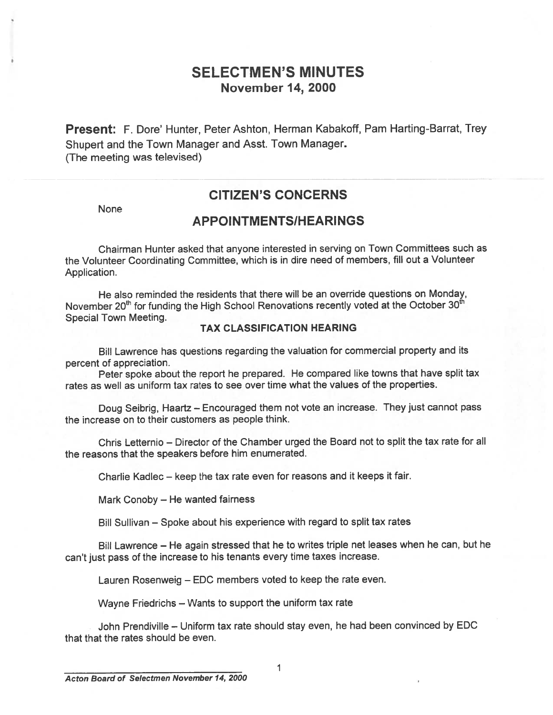## SELECTMEN'S MINUTES November 14, 2000

Present: F. Dore' Hunter, Peter Ashton, Herman Kabakoff, Pam Harting-Barrat, Trey Shupert and the Town Manager and Asst. Town Manager. (The meeting was televised)

## CITIZEN'S CONCERNS

None

### APPOINTMENTSIHEARINGS

Chairman Hunter asked that anyone interested in serving on Town Committees such as the Volunteer Coordinating Committee, which is in dire need of members, fill out <sup>a</sup> Volunteer Application.

He also reminded the residents that there will be an override questions on Monday, November 20<sup>th</sup> for funding the High School Renovations recently voted at the October 30<sup>th</sup> Special Town Meeting.

#### TAX CLASSIFICATION HEARING

Bill Lawrence has questions regarding the valuation for commercial property and its percen<sup>t</sup> of appreciation.

Peter spoke about the repor<sup>t</sup> he prepared. He compare<sup>d</sup> like towns that have split tax rates as well as uniform tax rates to see over time what the values of the properties.

Doug Seibrig, Haartz — Encouraged them not vote an increase. They just cannot pass the increase on to their customers as people think.

Chris Letternio — Director of the Chamber urged the Board not to split the tax rate for all the reasons that the speakers before him enumerated.

Charlie Kadlec — keep the tax rate even for reasons and it keeps it fair.

Mark Conoby — He wanted fairness

Bill Sullivan — Spoke about his experience with regard to split tax rates

Bill Lawrence — He again stressed that he to writes triple net leases when he can, but he can't just pass of the increase to his tenants every time taxes increase.

Lauren Rosenweig — EDC members voted to keep the rate even.

Wayne Friedrichs — Wants to suppor<sup>t</sup> the uniform tax rate

John Prendiville — Uniform tax rate should stay even, he had been convinced by EDC that that the rates should be even.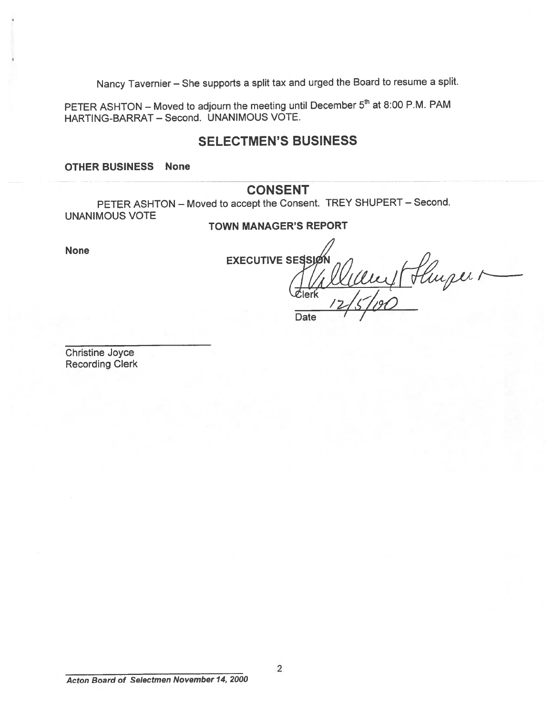Nancy Tavernier — She supports <sup>a</sup> split tax and urge<sup>d</sup> the Board to resume <sup>a</sup> split.

PETER ASHTON – Moved to adjourn the meeting until December  $5<sup>th</sup>$  at 8:00 P.M. PAM HARTING-BARRAT — Second. UNANIMOUS VOTE.

## SELECTMEN'S BUSINESS

OTHER BUSINESS None

### **CONSENT**

PETER ASHTON — Moved to accep<sup>t</sup> the Consent. TREY SHUPERT — Second. UNANIMOUS VOTE

#### TOWN MANAGER'S REPORT

None

**EXECUTIVE SESSIA** 

Date

 $I_2/5/90$ 

Hluper 1

Christine Joyce Recording Clerk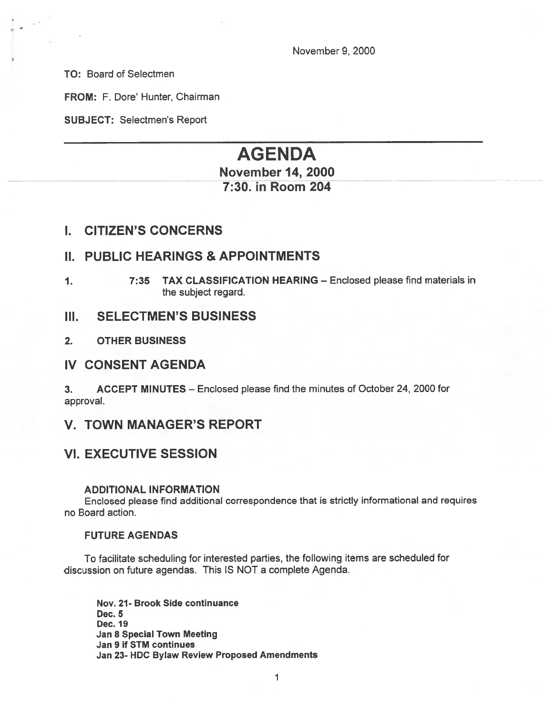November 9, 2000

TO: Board of Selectmen

FROM: F. Dore' Hunter, Chairman

SUBJECT: Selectmen's Report

# AGENDA November 14, 2000

## 7:30. in Room 204

### I. CITIZEN'S CONCERNS

### II. PUBLIC HEARINGS & APPOINTMENTS

1. 7:35 TAX CLASSIFICATION HEARING — Enclosed please find materials in the subject regard.

#### III. SELECTMEN'S BUSINESS

2. OTHER BUSINESS

#### IV CONSENT AGENDA

3. ACCEPT MINUTES — Enclosed please find the minutes of October 24, 2000 for approval.

### V. TOWN MANAGER'S REPORT

### VI. EXECUTIVE SESSION

#### ADDITIONAL INFORMATION

Enclosed <sup>p</sup>lease find additional correspondence that is strictly informational and requires no Board action.

#### FUTURE AGENDAS

To facilitate scheduling for interested parties, the following items are scheduled for discussion on future agendas. This IS NOT <sup>a</sup> complete Agenda.

Nov. 21- Brook Side continuance Dec. 5 Dec. 19 Jan 8 Special Town Meeting Jan 9 if SIM continues Jan 23- HDC Bylaw Review Proposed Amendments